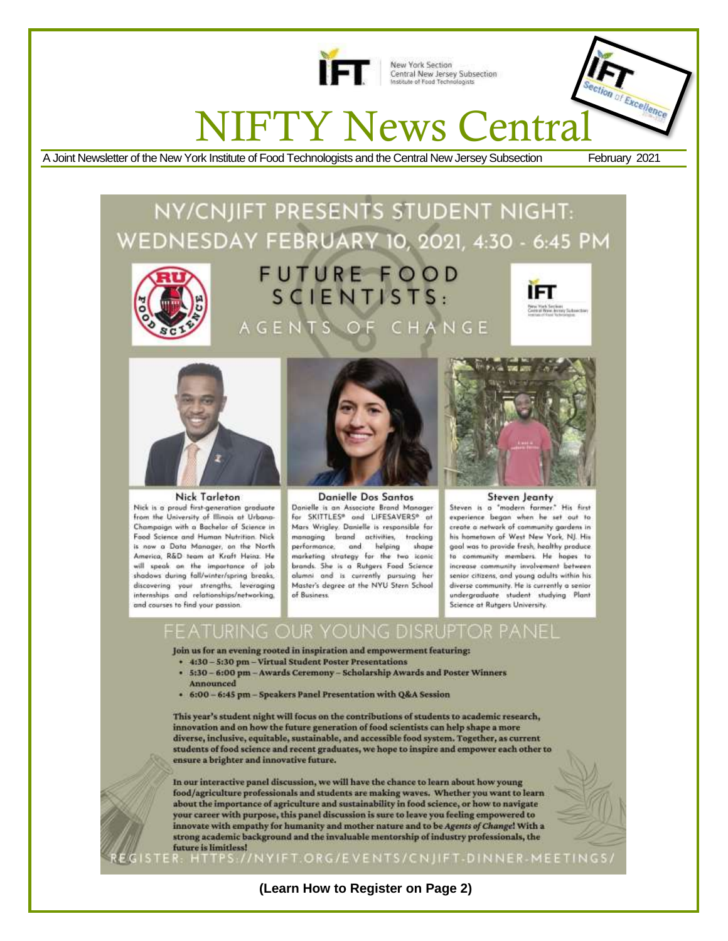

New York Section<br>Central New Jersey Subsection<br>Institute of Food Technologists

# NIFTY News Central

A Joint Newsletter of the New York Institute of Food Technologists and the Central New Jersey Subsection February 2021

xcellence

# NY/CNJIFT PRESENTS STUDENT NIGHT: WEDNESDAY FEBRUARY 10, 2021, 4:30 - 6:45 PM



# FUTURE FOOD  $SCIENTISTS:$ AGENTS OF CHANGE





Nick Tarleton

Nick is a proud first-generation graduate from the University of Illinois at Urbana-Champaign with a Bachelor of Science in Food Science and Human Nutrition. Nick is now a Data Manager, on the North America, R&D team at Kraft Heinz. He will speak an the impartance of job shadows during fall/winter/spring breaks, discovering your strengths, leveraging internships and relationships/networking, and courses to find your passion.



Danielle Dos Santos Danielle is an Associate Brand Manager for SKITTLES® and LIFESAVERS® at Mars Wrigley. Danielle is responsible for managing brand activities, tracking and performance. helping shape marketing strategy for the two iconic brands. She is a Rutgers Food Science alumni and is currently pursuing her Master's degree at the NYU Stern School of Business



#### **Steven Jeanty**

Steven is a "modern farmer." His first experience began when he set out to create a network of community gardens in his hometown of West New York, NJ. His goal was to provide fresh, healthy produce. to community members. He hopes to increase community involvement between senior citizens, and young adults within his diverse community. He is currently a senior undergraduate student studying Plant Science at Rutgers University.

# **DISRUPTOR**

Join us for an evening rooted in inspiration and empowerment featuring:

- + 4:30 5:30 pm Virtual Student Poster Presentations
- 5:30 6:00 pm Awards Ceremony Scholarship Awards and Poster Winners **Announced**
- + 6:00 6:45 pm Speakers Panel Presentation with Q&A Session

This year's student night will focus on the contributions of students to academic research, innovation and on how the future generation of food scientists can help shape a more diverse, inclusive, equitable, sustainable, and accessible food system. Together, as current students of food science and recent graduates, we hope to inspire and empower each other to ensure a brighter and innovative future.

In our interactive panel discussion, we will have the chance to learn about how young food/agriculture professionals and students are making waves. Whether you want to learn about the importance of agriculture and sustainability in food science, or how to navigate your career with purpose, this panel discussion is sure to leave you feeling empowered to innovate with empathy for humanity and mother nature and to be Agents of Change! With a strong academic background and the invaluable mentorship of industry professionals, the future is limitless!



 $STER<sub>1</sub>$ //NYIFT.ORG/EVENTS/CNJIFT-DINNER-MEETINGS/

**(Learn How to Register on Page 2)**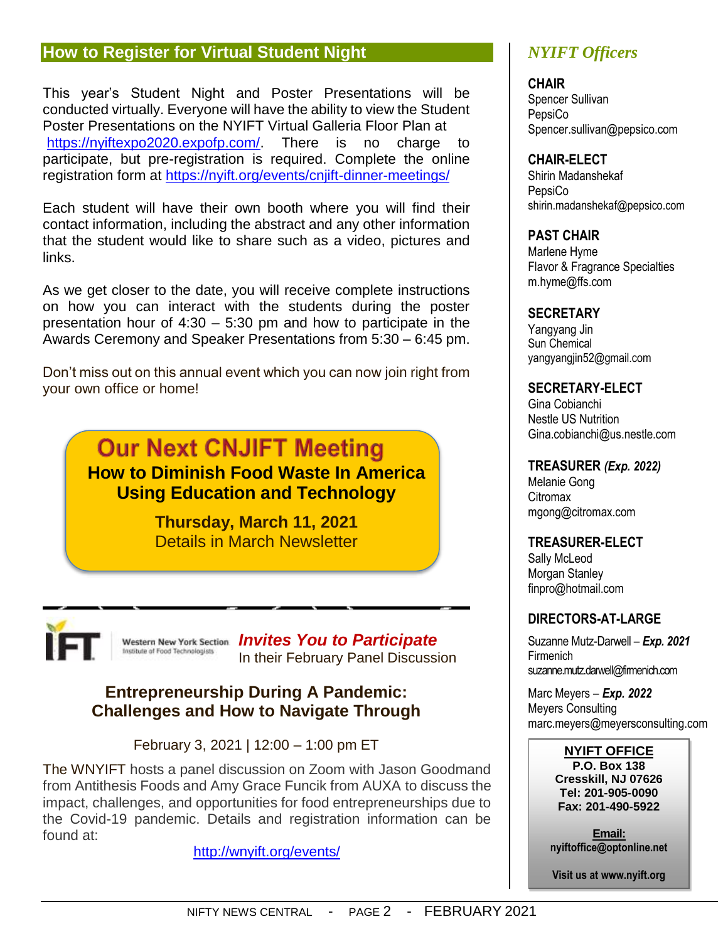## **How to Register for Virtual Student Night**

This year's Student Night and Poster Presentations will be conducted virtually. Everyone will have the ability to view the Student Poster Presentations on the NYIFT Virtual Galleria Floor Plan at [https://nyiftexpo2020.expofp.com/.](https://nyiftexpo2020.expofp.com/) There is no charge to participate, but pre-registration is required. Complete the online registration form at <https://nyift.org/events/cnjift-dinner-meetings/>

Each student will have their own booth where you will find their contact information, including the abstract and any other information that the student would like to share such as a video, pictures and links.

As we get closer to the date, you will receive complete instructions on how you can interact with the students during the poster presentation hour of  $4:30 - 5:30$  pm and how to participate in the Awards Ceremony and Speaker Presentations from 5:30 – 6:45 pm.

Don't miss out on this annual event which you can now join right from your own office or home!



**Thursday, March 11, 2021** Details in March Newsletter



Western New York Section **Invites You to Participate** Institute of Food Technologists In their February Panel Discussion

## **Entrepreneurship During A Pandemic: Challenges and How to Navigate Through**

February 3, 2021 | 12:00 – 1:00 pm ET

The WNYIFT hosts a panel discussion on Zoom with Jason Goodmand from Antithesis Foods and Amy Grace Funcik from AUXA to discuss the impact, challenges, and opportunities for food entrepreneurships due to the Covid-19 pandemic. Details and registration information can be found at:

<http://wnyift.org/events/>

# *NYIFT Officers*

**CHAIR**

Spencer Sullivan **PepsiCo** Spencer.sullivan@pepsico.com

#### **CHAIR-ELECT**

Shirin Madanshekaf **PepsiCo** shirin.madanshekaf@pepsico.com

#### **PAST CHAIR**

Marlene Hyme Flavor & Fragrance Specialties m.hyme@ffs.com

#### **SECRETARY**

Yangyang Jin Sun Chemical yangyangjin52@gmail.com

#### **SECRETARY-ELECT**

Gina Cobianchi Nestle US Nutrition Gina.cobianchi@us.nestle.com

#### **TREASURER** *(Exp. 2022)*

Melanie Gong **Citromax** mgong@citromax.com

#### **TREASURER-ELECT**

Sally McLeod Morgan Stanley finpro@hotmail.com

#### **DIRECTORS-AT-LARGE**

Suzanne Mutz-Darwell *– Exp. 2021* Firmenich suzanne.mutz.darwell@firmenich.com

Marc Meyers *– Exp. 2022* Meyers Consulting marc.meyers@meyersconsulting.com

#### **NYIFT OFFICE**

**P.O. Box 138 Cresskill, NJ 07626 Tel: 201-905-0090 Fax: 201-490-5922**

**Email: nyiftoffice@optonline.net**

**Visit us at www.nyift.org**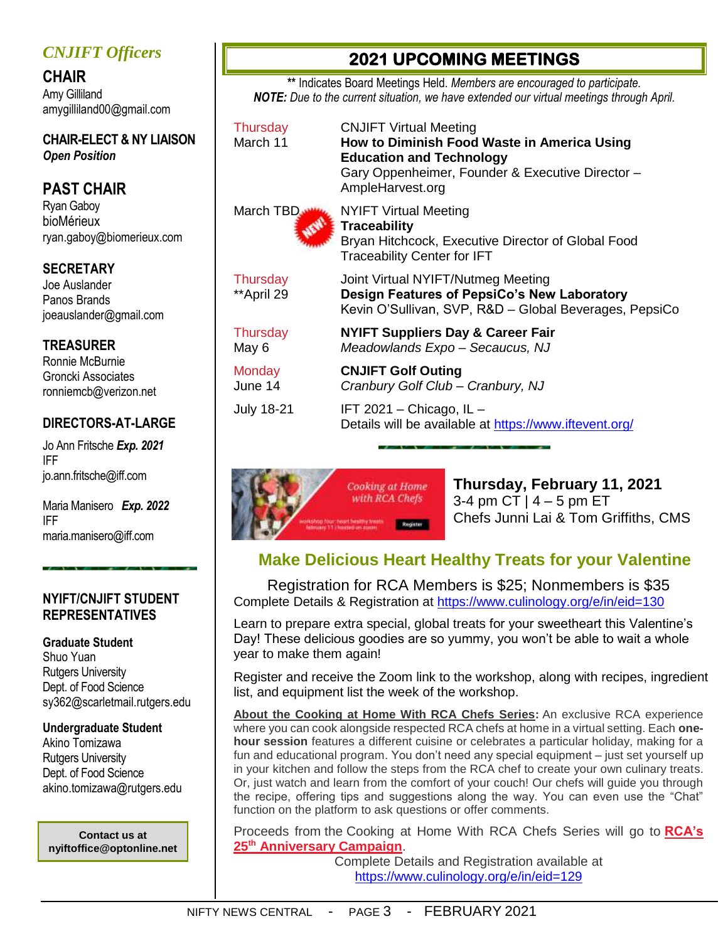## *CNJIFT Officers*

**CHAIR** Amy Gilliland amygilliland00@gmail.com

**CHAIR-ELECT & NY LIAISON** *Open Position*

# **PAST CHAIR**

Ryan Gaboy bioMérieux ryan.gaboy@biomerieux.com

#### **SECRETARY**

Joe Auslander Panos Brands joeauslander@gmail.com

#### **TREASURER**

Ronnie McBurnie Groncki Associates ronniemcb@verizon.net

#### **DIRECTORS-AT-LARGE**

Jo Ann Fritsche *Exp. 2021* IFF [jo.ann.fritsche@iff.c](mailto:jo.ann.fritsche@iff)om

Maria Manisero *Exp. 2022* IFF [maria.manisero@iff.com](mailto:maria.manisero@iff.com)

#### **NYIFT/CNJIFT STUDENT REPRESENTATIVES**

#### **Graduate Student**

Shuo Yuan Rutgers University Dept. of Food Science sy362@scarletmail.rutgers.edu

#### **Undergraduate Student**

Akino Tomizawa Rutgers University Dept. of Food Science akino.tomizawa@rutgers.edu

**Contact us at nyiftoffice@optonline.net**

# **2021 UPCOMING MEETINGS**

**\*\*** Indicates Board Meetings Held. *Members are encouraged to participate. NOTE: Due to the current situation, we have extended our virtual meetings through April.* 

Thursday CNJIFT Virtual Meeting March 11 **How to Diminish Food Waste in America Using Education and Technology** Gary Oppenheimer, Founder & Executive Director – AmpleHarvest.org March TBD WWW. NYIFT Virtual Meeting **Traceability** Bryan Hitchcock, Executive Director of Global Food Traceability Center for IFT Thursday Joint Virtual NYIFT/Nutmeg Meeting \*\*April 29 **Design Features of PepsiCo's New Laboratory**

Thursday **NYIFT Suppliers Day & Career Fair** May 6 *Meadowlands Expo – Secaucus, NJ*

Monday **CNJIFT Golf Outing** June 14 *Cranbury Golf Club – Cranbury, NJ*

July 18-21 IFT 2021 – Chicago, IL – Details will be available at <https://www.iftevent.org/>

Kevin O'Sullivan, SVP, R&D – Global Beverages, PepsiCo



**Thursday, February 11, 2021** 3-4 pm CT  $|$  4 – 5 pm ET Chefs Junni Lai & Tom Griffiths, CMS

# **Make Delicious Heart Healthy Treats for your Valentine**

Registration for RCA Members is \$25; Nonmembers is \$35 Complete Details & Registration at https://www.culinology.org/e/in/eid=130

Learn to prepare extra special, global treats for your sweetheart this Valentine's Day! These delicious goodies are so yummy, you won't be able to wait a whole year to make them again!

Register and receive the Zoom link to the workshop, along with recipes, ingredient list, and equipment list the week of the workshop.

**About the Cooking at Home With RCA Chefs Series:** An exclusive RCA experience where you can cook alongside respected RCA chefs at home in a virtual setting. Each **onehour session** features a different cuisine or celebrates a particular holiday, making for a fun and educational program. You don't need any special equipment – just set yourself up in your kitchen and follow the steps from the RCA chef to create your own culinary treats. Or, just watch and learn from the comfort of your couch! Our chefs will guide you through the recipe, offering tips and suggestions along the way. You can even use the "Chat" function on the platform to ask questions or offer comments.

Proceeds from the Cooking at Home With RCA Chefs Series will go to **[RCA's](https://www.culinology.org/page/25th-anniversary)  25th [Anniversary Campaign](https://www.culinology.org/page/25th-anniversary)**.

Complete Details and Registration available at <https://www.culinology.org/e/in/eid=129>

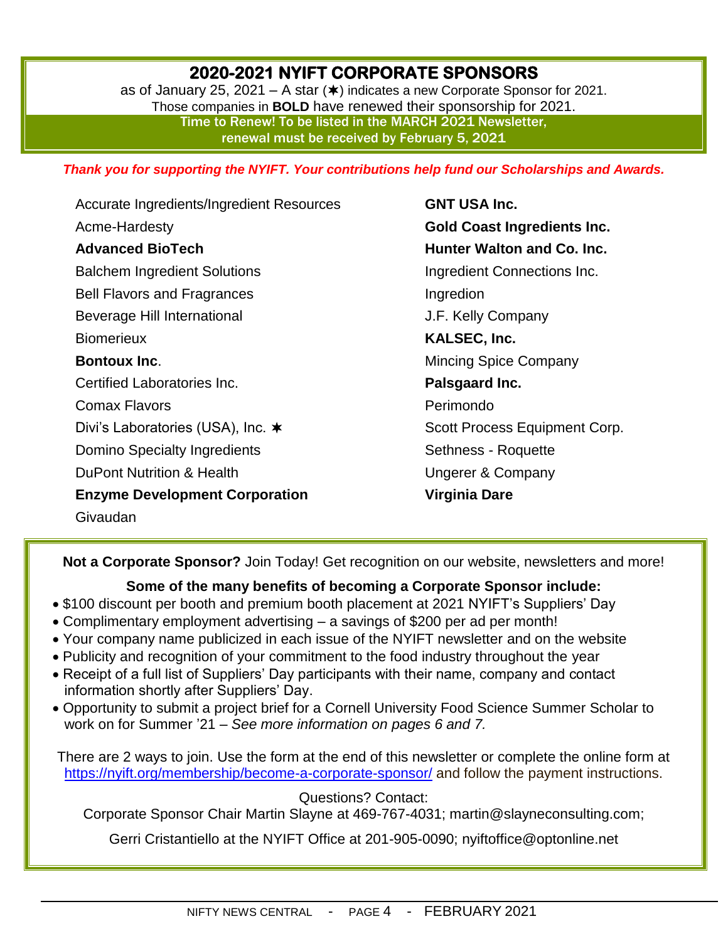# **2020-2021 NYIFT CORPORATE SPONSORS**

as of January 25, 2021 – A star  $(*)$  indicates a new Corporate Sponsor for 2021. Those companies in **BOLD** have renewed their sponsorship for 2021. Time to Renew! To be listed in the MARCH 2021 Newsletter, renewal must be received by February 5, 2021

*Thank you for supporting the NYIFT. Your contributions help fund our Scholarships and Awards.*

Accurate Ingredients/Ingredient Resources Acme-Hardesty **Advanced BioTech** Balchem Ingredient Solutions Bell Flavors and Fragrances Beverage Hill International **Biomerieux Bontoux Inc**. Certified Laboratories Inc. Comax Flavors Divi's Laboratories (USA), Inc. **★** Domino Specialty Ingredients DuPont Nutrition & Health **Enzyme Development Corporation** Givaudan

**GNT USA Inc. Gold Coast Ingredients Inc. Hunter Walton and Co. Inc.** Ingredient Connections Inc. Ingredion J.F. Kelly Company **KALSEC, Inc.** Mincing Spice Company **Palsgaard Inc.** Perimondo Scott Process Equipment Corp. Sethness - Roquette Ungerer & Company **Virginia Dare**

**Not a Corporate Sponsor?** Join Today! Get recognition on our website, newsletters and more!

#### **Some of the many benefits of becoming a Corporate Sponsor include:**

- \$100 discount per booth and premium booth placement at 2021 NYIFT's Suppliers' Day
- Complimentary employment advertising a savings of \$200 per ad per month!
- Your company name publicized in each issue of the NYIFT newsletter and on the website
- Publicity and recognition of your commitment to the food industry throughout the year
- Receipt of a full list of Suppliers' Day participants with their name, company and contact information shortly after Suppliers' Day.
- Opportunity to submit a project brief for a Cornell University Food Science Summer Scholar to work on for Summer '21 – *See more information on pages 6 and 7.*

There are 2 ways to join. Use the form at the end of this newsletter or complete the online form at <https://nyift.org/membership/become-a-corporate-sponsor/> and follow the payment instructions.

#### Questions? Contact:

Corporate Sponsor Chair Martin Slayne at 469-767-4031; [martin@slayneconsulting.com;](mailto:martin@slayneconsulting.com)

Gerri Cristantiello at the NYIFT Office at 201-905-0090; [nyiftoffice@optonline.net](mailto:nyiftoffice@optonline.net)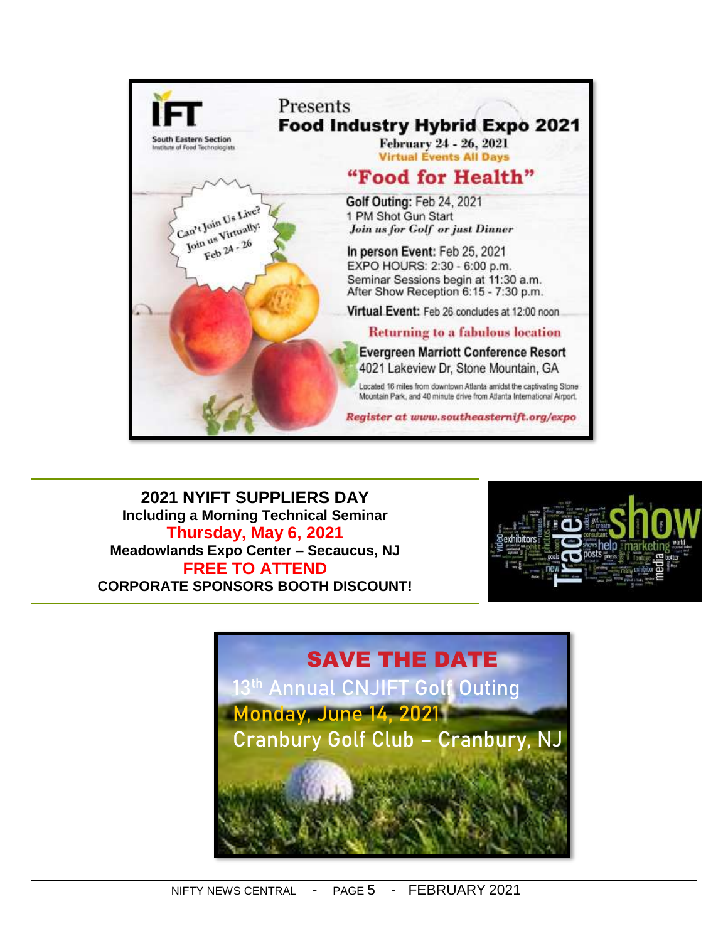

**2021 NYIFT SUPPLIERS DAY Including a Morning Technical Seminar Thursday, May 6, 2021 Meadowlands Expo Center – Secaucus, NJ FREE TO ATTEND CORPORATE SPONSORS BOOTH DISCOUNT!**



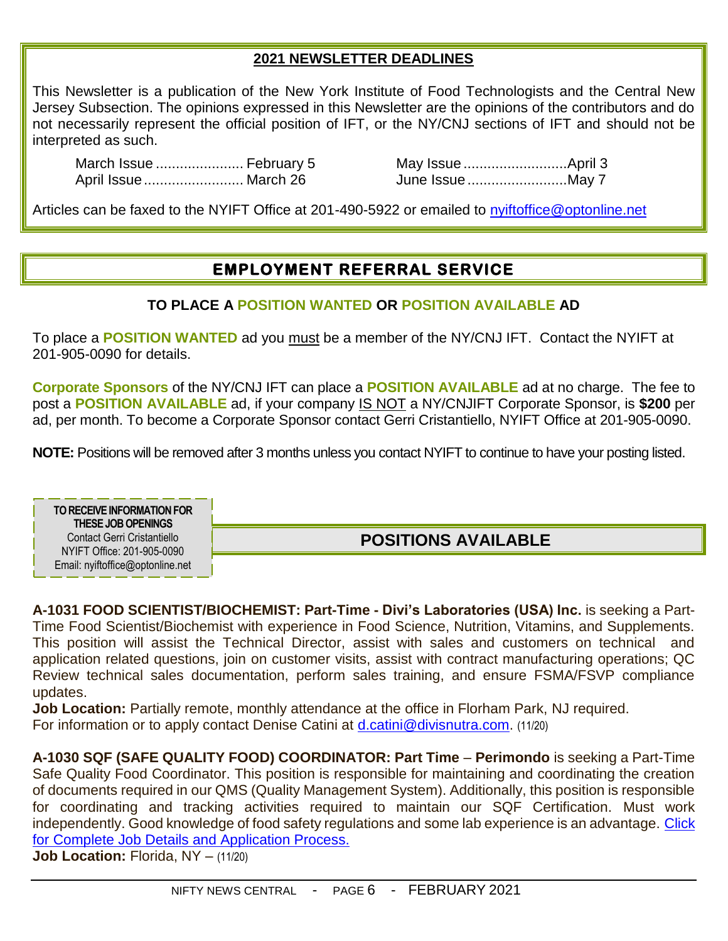#### **2021 NEWSLETTER DEADLINES**

This Newsletter is a publication of the New York Institute of Food Technologists and the Central New Jersey Subsection. The opinions expressed in this Newsletter are the opinions of the contributors and do not necessarily represent the official position of IFT, or the NY/CNJ sections of IFT and should not be interpreted as such.

March Issue ...................... February 5 May Issue ..........................April 3 April Issue......................... March 26 June Issue .........................May 7

Articles can be faxed to the NYIFT Office at 201-490-5922 or emailed to [nyiftoffice@optonline.net](mailto:nyiftoffice@optonline.net)

# **EMPLOYMENT REFERRAL SERVICE**

#### **TO PLACE A POSITION WANTED OR POSITION AVAILABLE AD**

To place a **POSITION WANTED** ad you must be a member of the NY/CNJ IFT. Contact the NYIFT at 201-905-0090 for details.

**Corporate Sponsors** of the NY/CNJ IFT can place a **POSITION AVAILABLE** ad at no charge. The fee to post a **POSITION AVAILABLE** ad, if your company IS NOT a NY/CNJIFT Corporate Sponsor, is **\$200** per ad, per month. To become a Corporate Sponsor contact Gerri Cristantiello, NYIFT Office at 201-905-0090.

**NOTE:** Positions will be removed after 3 months unless you contact NYIFT to continue to have your posting listed.

**TO RECEIVE INFORMATION FOR THESE JOBOPENINGS** Contact Gerri Cristantiello NYIFT Office: 201-905-0090 Email: nyiftoffice@optonline.net

**POSITIONS AVAILABLE**

**A-1031 FOOD SCIENTIST/BIOCHEMIST: Part-Time - Divi's Laboratories (USA) Inc.** is seeking a Part-Time Food Scientist/Biochemist with experience in Food Science, Nutrition, Vitamins, and Supplements. This position will assist the Technical Director, assist with sales and customers on technical and application related questions, join on customer visits, assist with contract manufacturing operations; QC Review technical sales documentation, perform sales training, and ensure FSMA/FSVP compliance updates.

**Job Location:** Partially remote, monthly attendance at the office in Florham Park, NJ required. For information or to apply contact Denise Catini at [d.catini@divisnutra.com.](mailto:d.catini@divisnutra.com) (11/20)

**A-1030 SQF (SAFE QUALITY FOOD) COORDINATOR: Part Time** – **Perimondo** is seeking a Part-Time Safe Quality Food Coordinator. This position is responsible for maintaining and coordinating the creation of documents required in our QMS (Quality Management System). Additionally, this position is responsible for coordinating and tracking activities required to maintain our SQF Certification. Must work independently. Good knowledge of food safety regulations and some lab experience is an advantage. [Click](https://www.indeed.com/job/sqf-coordinator-part-time-08a43388016855db)  for Complete Job [Details and Application Process.](https://www.indeed.com/job/sqf-coordinator-part-time-08a43388016855db)

**Job Location: Florida, NY - (11/20)**